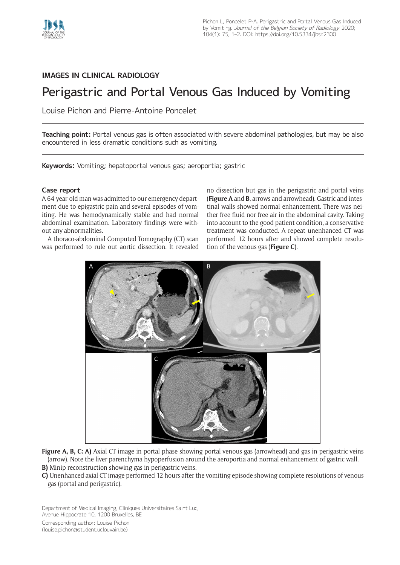

# **IMAGES IN CLINICAL RADIOLOGY**

# Perigastric and Portal Venous Gas Induced by Vomiting

Louise Pichon and Pierre-Antoine Poncelet

**Teaching point:** Portal venous gas is often associated with severe abdominal pathologies, but may be also encountered in less dramatic conditions such as vomiting.

**Keywords:** Vomiting; hepatoportal venous gas; aeroportia; gastric

## **Case report**

A 64-year-old man was admitted to our emergency department due to epigastric pain and several episodes of vomiting. He was hemodynamically stable and had normal abdominal examination. Laboratory findings were without any abnormalities.

A thoraco-abdominal Computed Tomography (CT) scan was performed to rule out aortic dissection. It revealed no dissection but gas in the perigastric and portal veins (**Figure A** and **B**, arrows and arrowhead). Gastric and intestinal walls showed normal enhancement. There was neither free fluid nor free air in the abdominal cavity. Taking into account to the good patient condition, a conservative treatment was conducted. A repeat unenhanced CT was performed 12 hours after and showed complete resolution of the venous gas (**Figure C**).



**Figure A, B, C: A)** Axial CT image in portal phase showing portal venous gas (arrowhead) and gas in perigastric veins (arrow). Note the liver parenchyma hypoperfusion around the aeroportia and normal enhancement of gastric wall. **B)** Minip reconstruction showing gas in perigastric veins.

**C)** Unenhanced axial CT image performed 12 hours after the vomiting episode showing complete resolutions of venous gas (portal and perigastric).

Department of Medical Imaging, Cliniques Universitaires Saint Luc, Avenue Hippocrate 10, 1200 Bruxelles, BE

Corresponding author: Louise Pichon [\(louise.pichon@student.uclouvain.be](mailto:louise.pichon@student.uclouvain.be))